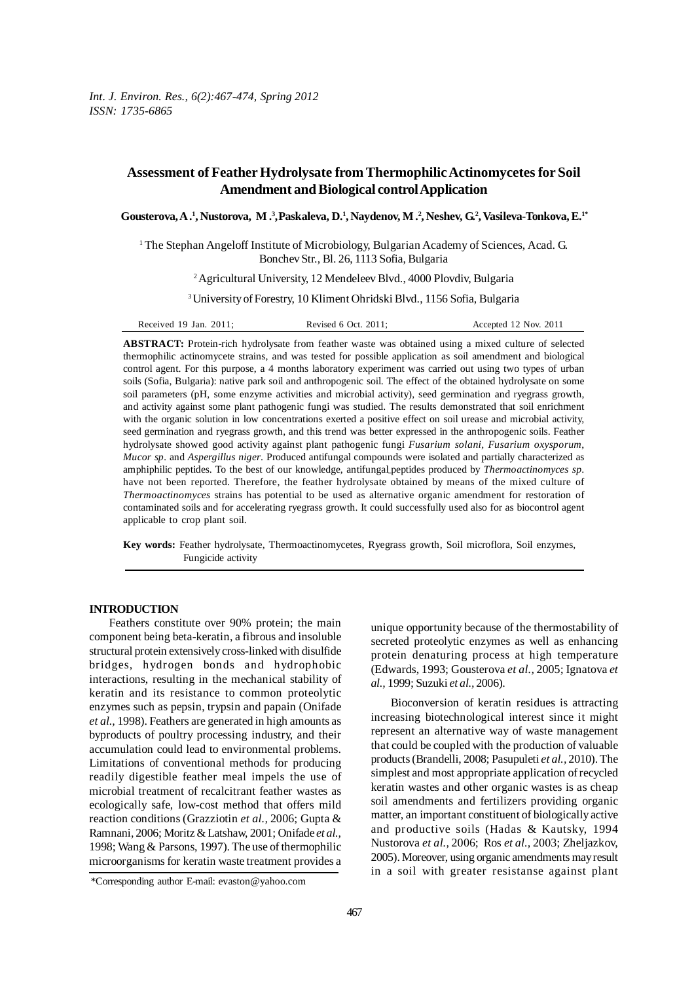# **Assessment of Feather Hydrolysate from Thermophilic Actinomycetes for Soil Amendment and Biological control Application**

**Gousterova, A .1 , Nustorova, M .3 ,Paskaleva, D.1 , Naydenov, M .2 , Neshev, G.2 , Vasileva-Tonkova, E.1\***

<sup>1</sup> The Stephan Angeloff Institute of Microbiology, Bulgarian Academy of Sciences, Acad. G. Bonchev Str., Bl. 26, 1113 Sofia, Bulgaria

2 Agricultural University, 12 Mendeleev Blvd., 4000 Plovdiv, Bulgaria

3 University of Forestry, 10 Kliment Ohridski Blvd., 1156 Sofia, Bulgaria

Received 19 Jan. 2011; Revised 6 Oct. 2011; Accepted 12 Nov. 2011

**ABSTRACT:** Protein-rich hydrolysate from feather waste was obtained using a mixed culture of selected thermophilic actinomycete strains, and was tested for possible application as soil amendment and biological control agent. For this purpose, a 4 months laboratory experiment was carried out using two types of urban soils (Sofia, Bulgaria): native park soil and anthropogenic soil. The effect of the obtained hydrolysate on some soil parameters (pH, some enzyme activities and microbial activity), seed germination and ryegrass growth, and activity against some plant pathogenic fungi was studied. The results demonstrated that soil enrichment with the organic solution in low concentrations exerted a positive effect on soil urease and microbial activity, seed germination and ryegrass growth, and this trend was better expressed in the anthropogenic soils. Feather hydrolysate showed good activity against plant pathogenic fungi *Fusarium solani, Fusarium oxysporum*, *Mucor sp.* and *Aspergillus niger*. Produced antifungal compounds were isolated and partially characterized as amphiphilic peptides. To the best of our knowledge, antifungal peptides produced by *Thermoactinomyces sp*. have not been reported. Therefore, the feather hydrolysate obtained by means of the mixed culture of *Thermoactinomyces* strains has potential to be used as alternative organic amendment for restoration of contaminated soils and for accelerating ryegrass growth. It could successfully used also for as biocontrol agent applicable to crop plant soil.

**Key words:** Feather hydrolysate, Thermoactinomycetes, Ryegrass growth, Soil microflora, Soil enzymes, Fungicide activity

## **INTRODUCTION**

Feathers constitute over 90% protein; the main component being beta-keratin, a fibrous and insoluble structural protein extensively cross-linked with disulfide bridges, hydrogen bonds and hydrophobic interactions, resulting in the mechanical stability of keratin and its resistance to common proteolytic enzymes such as pepsin, trypsin and papain (Onifade *et al.,* 1998). Feathers are generated in high amounts as byproducts of poultry processing industry, and their accumulation could lead to environmental problems. Limitations of conventional methods for producing readily digestible feather meal impels the use of microbial treatment of recalcitrant feather wastes as ecologically safe, low-cost method that offers mild reaction conditions (Grazziotin *et al.,* 2006; Gupta & Ramnani, 2006; Moritz & Latshaw, 2001; Onifade *et al.,* 1998; Wang & Parsons, 1997). The use of thermophilic microorganisms for keratin waste treatment provides a

unique opportunity because of the thermostability of secreted proteolytic enzymes as well as enhancing protein denaturing process at high temperature (Edwards, 1993; Gousterova *et al.,* 2005; Ignatova *et al.,* 1999; Suzuki *et al.,* 2006).

Bioconversion of keratin residues is attracting increasing biotechnological interest since it might represent an alternative way of waste management that could be coupled with the production of valuable products (Brandelli, 2008; Pasupuleti *et al.,* 2010). The simplest and most appropriate application of recycled keratin wastes and other organic wastes is as cheap soil amendments and fertilizers providing organic matter, an important constituent of biologically active and productive soils (Hadas & Kautsky, 1994 Nustorova *et al.,* 2006; Ros *et al.,* 2003; Zheljazkov, 2005). Moreover, using organic amendments may result in a soil with greater resistanse against plant

<sup>\*</sup>Corresponding author E-mail: evaston@yahoo.com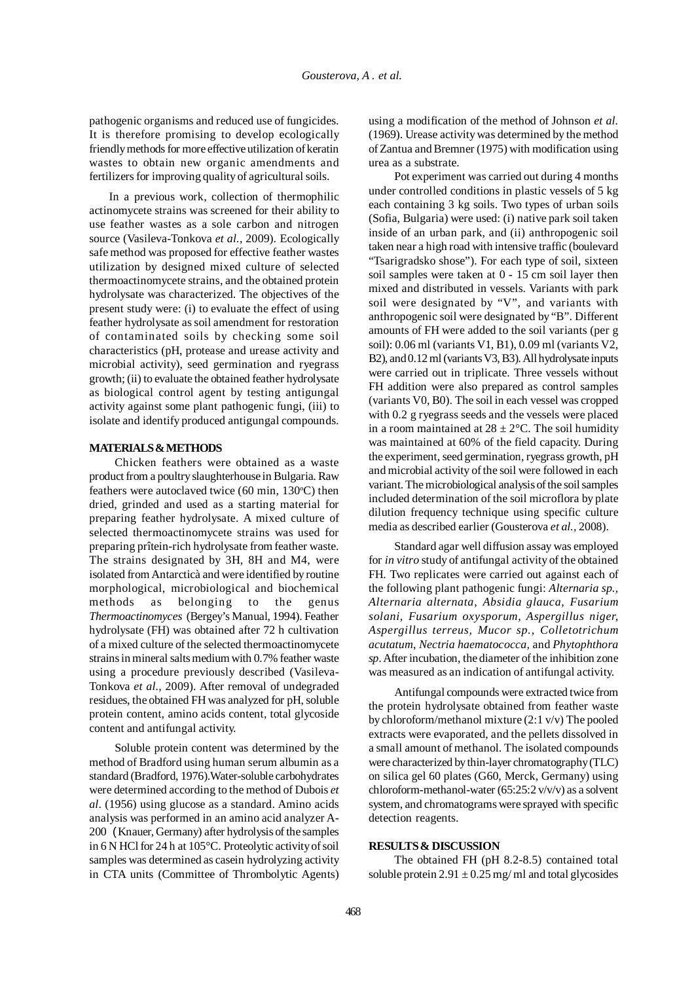pathogenic organisms and reduced use of fungicides. It is therefore promising to develop ecologically friendly methods for more effective utilization of keratin wastes to obtain new organic amendments and fertilizers for improving quality of agricultural soils.

In a previous work, collection of thermophilic actinomycete strains was screened for their ability to use feather wastes as a sole carbon and nitrogen source (Vasileva-Tonkova *et al.,* 2009). Ecologically safe method was proposed for effective feather wastes utilization by designed mixed culture of selected thermoactinomycete strains, and the obtained protein hydrolysate was characterized. The objectives of the present study were: (i) to evaluate the effect of using feather hydrolysate as soil amendment for restoration of contaminated soils by checking some soil characteristics (pH, protease and urease activity and microbial activity), seed germination and ryegrass growth; (ii) to evaluate the obtained feather hydrolysate as biological control agent by testing antigungal activity against some plant pathogenic fungi, (iii) to isolate and identify produced antigungal compounds.

#### **MATERIALS & METHODS**

Chicken feathers were obtained as a waste product from a poultry slaughterhouse in Bulgaria. Raw feathers were autoclaved twice  $(60 \text{ min}, 130^{\circ}\text{C})$  then dried, grinded and used as a starting material for preparing feather hydrolysate. A mixed culture of selected thermoactinomycete strains was used for preparing prîtein-rich hydrolysate from feather waste. The strains designated by 3H, 8H and M4, were isolated from Antarcticà and were identified by routine morphological, microbiological and biochemical methods as belonging to the genus *Thermoactinomyces* (Bergey's Manual, 1994). Feather hydrolysate (FH) was obtained after 72 h cultivation of a mixed culture of the selected thermoactinomycete strains in mineral salts medium with 0.7% feather waste using a procedure previously described (Vasileva-Tonkova *et al.,* 2009). After removal of undegraded residues, the obtained FH was analyzed for pH, soluble protein content, amino acids content, total glycoside content and antifungal activity.

Soluble protein content was determined by the method of Bradford using human serum albumin as a standard (Bradford, 1976).Water-soluble carbohydrates were determined according to the method of Dubois *et al*. (1956) using glucose as a standard. Amino acids analysis was performed in an amino acid analyzer A-200 (Knauer, Germany) after hydrolysis of the samples in 6 N HCl for 24 h at 105°C. Proteolytic activity of soil samples was determined as casein hydrolyzing activity in CTA units (Committee of Thrombolytic Agents)

using a modification of the method of Johnson *et al.* (1969). Urease activity was determined by the method of Zantua and Bremner (1975) with modification using urea as a substrate.

Pot experiment was carried out during 4 months under controlled conditions in plastic vessels of 5 kg each containing 3 kg soils. Two types of urban soils (Sofia, Bulgaria) were used: (i) native park soil taken inside of an urban park, and (ii) anthropogenic soil taken near a high road with intensive traffic (boulevard "Tsarigradsko shose"). For each type of soil, sixteen soil samples were taken at 0 - 15 cm soil layer then mixed and distributed in vessels. Variants with park soil were designated by "V", and variants with anthropogenic soil were designated by "B". Different amounts of FH were added to the soil variants (per g soil): 0.06 ml (variants V1, B1), 0.09 ml (variants V2, B2), and 0.12 ml (variants V3, B3). All hydrolysate inputs were carried out in triplicate. Three vessels without FH addition were also prepared as control samples (variants V0, B0). The soil in each vessel was cropped with 0.2 g ryegrass seeds and the vessels were placed in a room maintained at  $28 \pm 2$ °C. The soil humidity was maintained at 60% of the field capacity. During the experiment, seed germination, ryegrass growth, pH and microbial activity of the soil were followed in each variant. The microbiological analysis of the soil samples included determination of the soil microflora by plate dilution frequency technique using specific culture media as described earlier (Gousterova *et al.,* 2008).

Standard agar well diffusion assay was employed for *in vitro* study of antifungal activity of the obtained FH. Two replicates were carried out against each of the following plant pathogenic fungi: *Alternaria sp., Alternaria alternata, Absidia glauca, Fusarium solani, Fusarium oxysporum, Aspergillus niger, Aspergillus terreus, Mucor sp., Colletotrichum acutatum*, *Nectria haematococca,* and *Phytophthora sp*. After incubation, the diameter of the inhibition zone was measured as an indication of antifungal activity.

Antifungal compounds were extracted twice from the protein hydrolysate obtained from feather waste by chloroform/methanol mixture (2:1 v/v) The pooled extracts were evaporated, and the pellets dissolved in a small amount of methanol. The isolated compounds were characterized by thin-layer chromatography (TLC) on silica gel 60 plates (G60, Merck, Germany) using chloroform-methanol-water (65:25:2 v/v/v) as a solvent system, and chromatograms were sprayed with specific detection reagents.

#### **RESULTS & DISCUSSION**

The obtained FH (pH 8.2-8.5) contained total soluble protein  $2.91 \pm 0.25$  mg/ml and total glycosides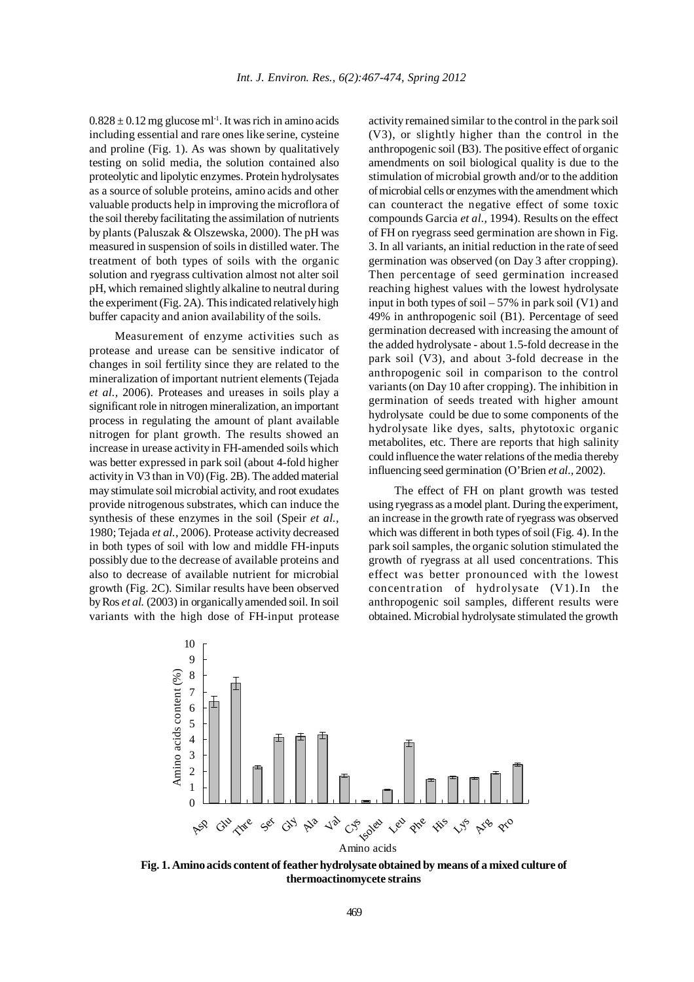$0.828 \pm 0.12$  mg glucose ml<sup>-1</sup>. It was rich in amino acids including essential and rare ones like serine, cysteine and proline (Fig. 1). As was shown by qualitatively testing on solid media, the solution contained also proteolytic and lipolytic enzymes. Protein hydrolysates as a source of soluble proteins, amino acids and other valuable products help in improving the microflora of the soil thereby facilitating the assimilation of nutrients by plants (Paluszak & Olszewska, 2000). The pH was measured in suspension of soils in distilled water. The treatment of both types of soils with the organic solution and ryegrass cultivation almost not alter soil pH, which remained slightly alkaline to neutral during the experiment (Fig. 2A). This indicated relatively high buffer capacity and anion availability of the soils.

Measurement of enzyme activities such as protease and urease can be sensitive indicator of changes in soil fertility since they are related to the mineralization of important nutrient elements (Tejada *et al.,* 2006). Proteases and ureases in soils play a significant role in nitrogen mineralization, an important process in regulating the amount of plant available nitrogen for plant growth. The results showed an increase in urease activity in FH-amended soils which was better expressed in park soil (about 4-fold higher activity in V3 than in V0) (Fig. 2B). The added material may stimulate soil microbial activity, and root exudates provide nitrogenous substrates, which can induce the synthesis of these enzymes in the soil (Speir *et al.,* 1980; Tejada *et al.,* 2006). Protease activity decreased in both types of soil with low and middle FH-inputs possibly due to the decrease of available proteins and also to decrease of available nutrient for microbial growth (Fig. 2C). Similar results have been observed by Ros *et al.* (2003) in organically amended soil. In soil variants with the high dose of FH-input protease

activity remained similar to the control in the park soil (V3), or slightly higher than the control in the anthropogenic soil (B3). The positive effect of organic amendments on soil biological quality is due to the stimulation of microbial growth and/or to the addition of microbial cells or enzymes with the amendment which can counteract the negative effect of some toxic compounds Garcia *et al.,* 1994). Results on the effect of FH on ryegrass seed germination are shown in Fig. 3. In all variants, an initial reduction in the rate of seed germination was observed (on Day 3 after cropping). Then percentage of seed germination increased reaching highest values with the lowest hydrolysate input in both types of soil  $-57\%$  in park soil (V1) and 49% in anthropogenic soil (B1). Percentage of seed germination decreased with increasing the amount of the added hydrolysate - about 1.5-fold decrease in the park soil (V3), and about 3-fold decrease in the anthropogenic soil in comparison to the control variants (on Day 10 after cropping). The inhibition in germination of seeds treated with higher amount hydrolysate could be due to some components of the hydrolysate like dyes, salts, phytotoxic organic metabolites, etc. There are reports that high salinity could influence the water relations of the media thereby influencing seed germination (O'Brien *et al.,* 2002).

The effect of FH on plant growth was tested using ryegrass as a model plant. During the experiment, an increase in the growth rate of ryegrass was observed which was different in both types of soil (Fig. 4). In the park soil samples, the organic solution stimulated the growth of ryegrass at all used concentrations. This effect was better pronounced with the lowest concentration of hydrolysate (V1).In the anthropogenic soil samples, different results were obtained. Microbial hydrolysate stimulated the growth



**Fig. 1. Amino acids content of feather hydrolysate obtained by means of a mixed culture of thermoactinomycete strains**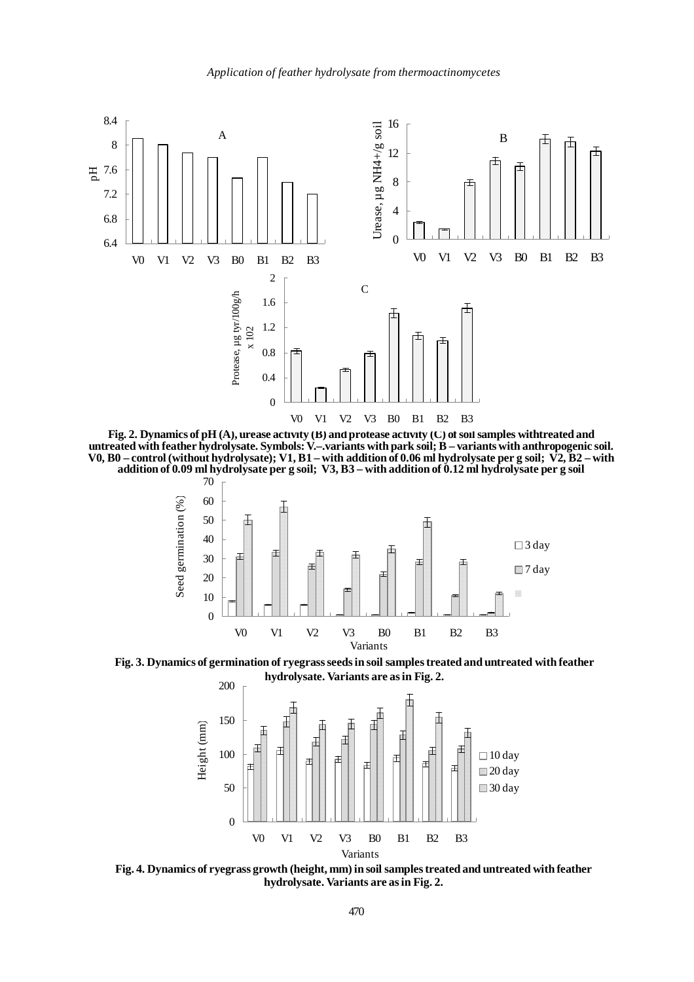

**Fig. 2. Dynamics of pH (A), urease activity (B) and protease activity (C) of soil samples withtreated and untreated with feather hydrolysate. Symbols: V.–.variants with park soil; B – variants with anthropogenic soil. V0, B0 – control (without hydrolysate); V1, B1 – with addition of 0.06 ml hydrolysate per g soil; V2, B2 – with addition of 0.09 ml hydrolysate per g soil; V3, B3 – with addition of 0.12 ml hydrolysate per g soil**



**Fig. 3. Dynamics of germination of ryegrass seeds in soil samples treated and untreated with feather hydrolysate. Variants are as in Fig. 2.**



**Fig. 4. Dynamics of ryegrass growth (height, mm) in soil samples treated and untreated with feather hydrolysate. Variants are as in Fig. 2.**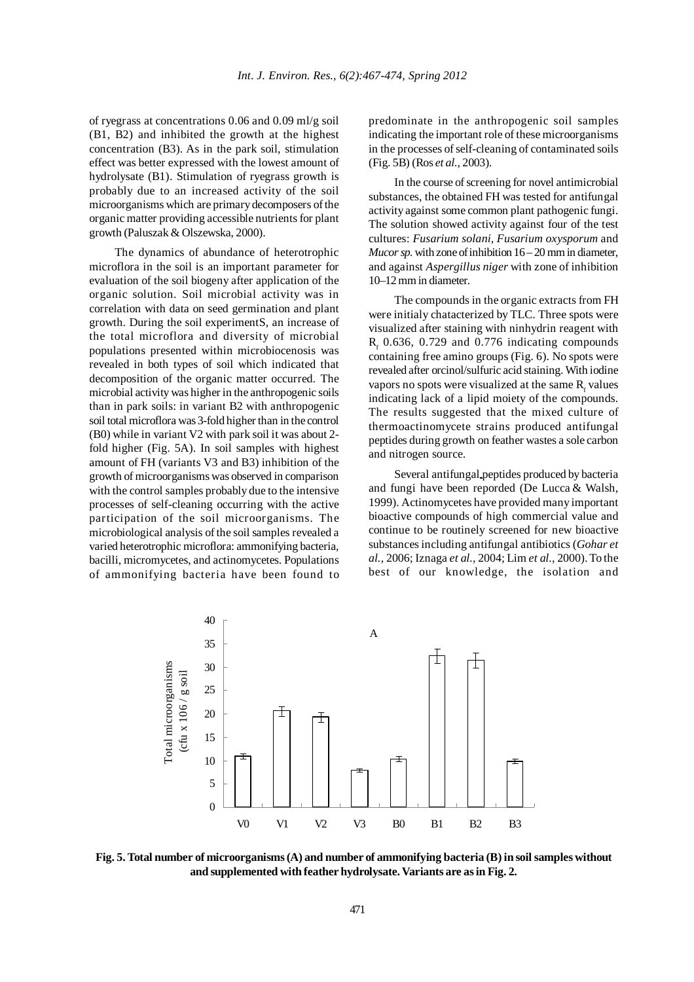of ryegrass at concentrations 0.06 and 0.09 ml/g soil (B1, B2) and inhibited the growth at the highest concentration (B3). As in the park soil, stimulation effect was better expressed with the lowest amount of hydrolysate (B1). Stimulation of ryegrass growth is probably due to an increased activity of the soil microorganisms which are primary decomposers of the organic matter providing accessible nutrients for plant growth (Paluszak & Olszewska, 2000).

The dynamics of abundance of heterotrophic microflora in the soil is an important parameter for evaluation of the soil biogeny after application of the organic solution. Soil microbial activity was in correlation with data on seed germination and plant growth. During the soil experimentS, an increase of the total microflora and diversity of microbial populations presented within microbiocenosis was revealed in both types of soil which indicated that decomposition of the organic matter occurred. The microbial activity was higher in the anthropogenic soils than in park soils: in variant B2 with anthropogenic soil total microflora was 3-fold higher than in the control (B0) while in variant V2 with park soil it was about 2 fold higher (Fig. 5A). In soil samples with highest amount of FH (variants V3 and B3) inhibition of the growth of microorganisms was observed in comparison with the control samples probably due to the intensive processes of self-cleaning occurring with the active participation of the soil microorganisms. The microbiological analysis of the soil samples revealed a varied heterotrophic microflora: ammonifying bacteria, bacilli, micromycetes, and actinomycetes. Populations of ammonifying bacteria have been found to predominate in the anthropogenic soil samples indicating the important role of these microorganisms in the processes of self-cleaning of contaminated soils (Fig. 5B) (Ros *et al.,* 2003).

In the course of screening for novel antimicrobial substances, the obtained FH was tested for antifungal activity against some common plant pathogenic fungi. The solution showed activity against four of the test cultures: *Fusarium solani, Fusarium oxysporum* and *Mucor sp.* with zone of inhibition 16 – 20 mm in diameter, and against *Aspergillus niger* with zone of inhibition 10–12 mm in diameter.

The compounds in the organic extracts from FH were initialy chatacterized by TLC. Three spots were visualized after staining with ninhydrin reagent with  $R_f$  0.636, 0.729 and 0.776 indicating compounds containing free amino groups (Fig. 6). No spots were revealed after orcinol/sulfuric acid staining. With iodine vapors no spots were visualized at the same  $R_f$  values indicating lack of a lipid moiety of the compounds. The results suggested that the mixed culture of thermoactinomycete strains produced antifungal peptides during growth on feather wastes a sole carbon and nitrogen source.

Several antifungal peptides produced by bacteria and fungi have been reporded (De Lucca & Walsh, 1999). Actinomycetes have provided many important bioactive compounds of high commercial value and continue to be routinely screened for new bioactive substances including antifungal antibiotics (*Gohar et al.,* 2006; Iznaga *et al.,* 2004; Lim *et al.,* 2000). To the best of our knowledge, the isolation and



**Fig. 5. Total number of microorganisms (A) and number of ammonifying bacteria (B) in soil samples without and supplemented with feather hydrolysate. Variants are as in Fig. 2.**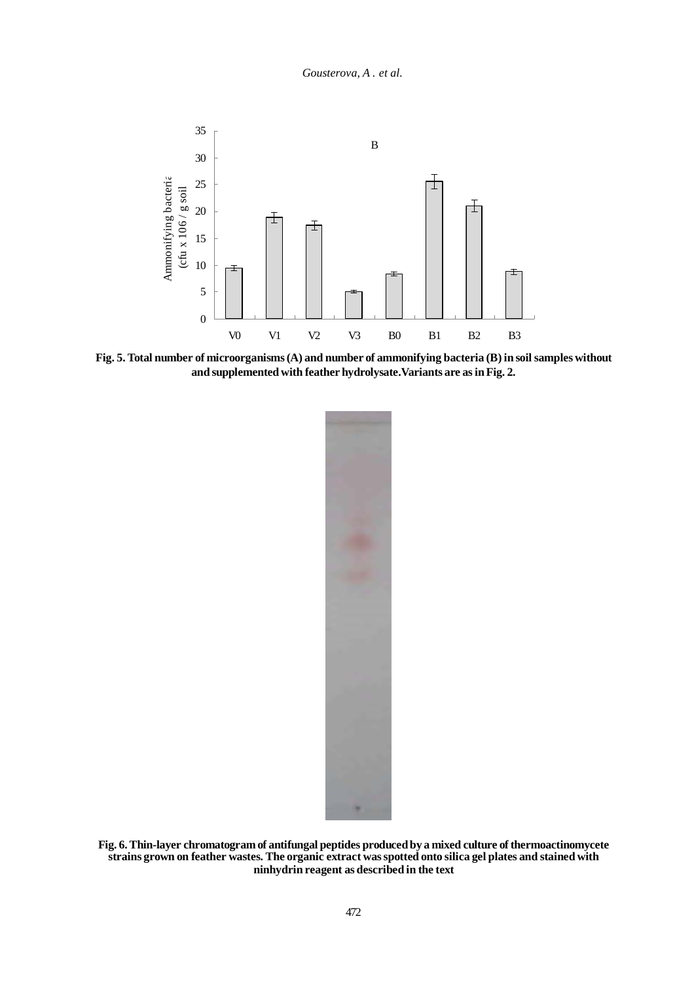

**Fig. 5. Total number of microorganisms (A) and number of ammonifying bacteria (B) in soil samples without and supplemented with feather hydrolysate.Variants are as in Fig. 2.**



**Fig. 6. Thin-layer chromatogram of antifungal peptides produced by a mixed culture of thermoactinomycete strains grown on feather wastes. The organic extract was spotted onto silica gel plates and stained with ninhydrin reagent as described in the text**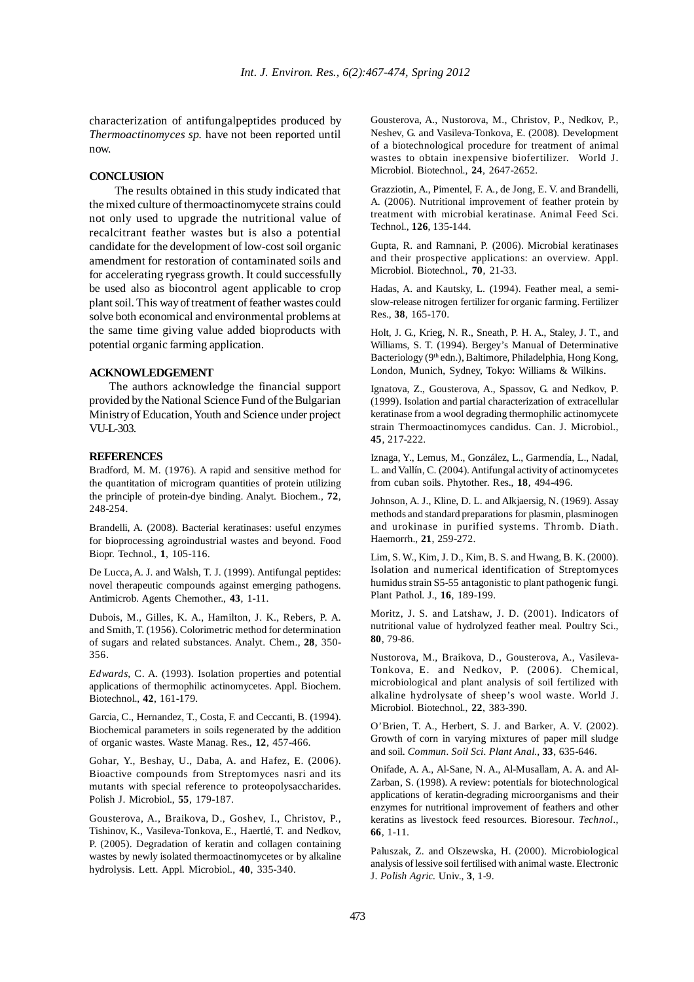characterization of antifungalpeptides produced by *Thermoactinomyces sp.* have not been reported until now.

#### **CONCLUSION**

The results obtained in this study indicated that the mixed culture of thermoactinomycete strains could not only used to upgrade the nutritional value of recalcitrant feather wastes but is also a potential candidate for the development of low-cost soil organic amendment for restoration of contaminated soils and for accelerating ryegrass growth. It could successfully be used also as biocontrol agent applicable to crop plant soil. This way of treatment of feather wastes could solve both economical and environmental problems at the same time giving value added bioproducts with potential organic farming application.

#### **ACKNOWLEDGEMENT**

The authors acknowledge the financial support provided by the National Science Fund of the Bulgarian Ministry of Education, Youth and Science under project VU-L-303.

### **REFERENCES**

Bradford, M. M. (1976). A rapid and sensitive method for the quantitation of microgram quantities of protein utilizing the principle of protein-dye binding. Analyt. Biochem., **72**, 248-254.

Brandelli, A. (2008). Bacterial keratinases: useful enzymes for bioprocessing agroindustrial wastes and beyond. Food Biopr. Technol., **1**, 105-116.

De Lucca, A. J. and Walsh, T. J. (1999). Antifungal peptides: novel therapeutic compounds against emerging pathogens. Antimicrob. Agents Chemother., **43**, 1-11.

Dubois, M., Gilles, K. A., Hamilton, J. K., Rebers, P. A. and Smith, T. (1956). Colorimetric method for determination of sugars and related substances. Analyt. Chem., **28**, 350- 356.

*Edwards,* C. A. (1993). Isolation properties and potential applications of thermophilic actinomycetes. Appl. Biochem. Biotechnol., **42**, 161-179.

Garcia, C., Hernandez, T., Costa, F. and Ceccanti, B. (1994). Biochemical parameters in soils regenerated by the addition of organic wastes. Waste Manag. Res., **12**, 457-466.

Gohar, Y., Beshay, U., Daba, A. and Hafez, E. (2006). Bioactive compounds from Streptomyces nasri and its mutants with special reference to proteopolysaccharides. Polish J. Microbiol., **55**, 179-187.

Gousterova, A., Braikova, D., Goshev, I., Christov, P., Tishinov, K., Vasileva-Tonkova, E., Haertlé, T. and Nedkov, P. (2005). Degradation of keratin and collagen containing wastes by newly isolated thermoactinomycetes or by alkaline hydrolysis. Lett. Appl. Microbiol., **40**, 335-340.

Gousterova, A., Nustorova, M., Christov, P., Nedkov, P., Neshev, G. and Vasileva-Tonkova, E. (2008). Development of a biotechnological procedure for treatment of animal wastes to obtain inexpensive biofertilizer. World J. Microbiol. Biotechnol., **24**, 2647-2652.

Grazziotin, A., Pimentel, F. A., de Jong, E. V. and Brandelli, A. (2006). Nutritional improvement of feather protein by treatment with microbial keratinase. Animal Feed Sci. Technol., **126**, 135-144.

Gupta, R. and Ramnani, P. (2006). Microbial keratinases and their prospective applications: an overview. Appl. Microbiol. Biotechnol., **70**, 21-33.

Hadas, A. and Kautsky, L. (1994). Feather meal, a semislow-release nitrogen fertilizer for organic farming. Fertilizer Res., **38**, 165-170.

Holt, J. G., Krieg, N. R., Sneath, P. H. A., Staley, J. T., and Williams, S. T. (1994). Bergey's Manual of Determinative Bacteriology (9<sup>th</sup> edn.), Baltimore, Philadelphia, Hong Kong, London, Munich, Sydney, Tokyo: Williams & Wilkins.

Ignatova, Z., Gousterova, A., Spassov, G. and Nedkov, P. (1999). Isolation and partial characterization of extracellular keratinase from a wool degrading thermophilic actinomycete strain Thermoactinomyces candidus. Can. J. Microbiol., **45**, 217-222.

Iznaga, Y., Lemus, M., González, L., Garmendía, L., Nadal, L. and Vallín, C. (2004). Antifungal activity of actinomycetes from cuban soils. Phytother. Res., **18**, 494-496.

Johnson, A. J., Kline, D. L. and Alkjaersig, N. (1969). Assay methods and standard preparations for plasmin, plasminogen and urokinase in purified systems. Thromb. Diath. Haemorrh., **21**, 259-272.

Lim, S. W., Kim, J. D., Kim, B. S. and Hwang, B. K. (2000). Isolation and numerical identification of Streptomyces humidus strain S5-55 antagonistic to plant pathogenic fungi. Plant Pathol. J., **16**, 189-199.

Moritz, J. S. and Latshaw, J. D. (2001). Indicators of nutritional value of hydrolyzed feather meal. Poultry Sci., **80**, 79-86.

Nustorova, M., Braikova, D., Gousterova, A., Vasileva-Tonkova, E. and Nedkov, P. (2006). Chemical, microbiological and plant analysis of soil fertilized with alkaline hydrolysate of sheep's wool waste. World J. Microbiol. Biotechnol., **22**, 383-390.

O'Brien, T. A., Herbert, S. J. and Barker, A. V. (2002). Growth of corn in varying mixtures of paper mill sludge and soil. *Commun. Soil Sci. Plant Anal.,* **33**, 635-646.

Onifade, A. A., Al-Sane, N. A., Al-Musallam, A. A. and Al-Zarban, S. (1998). A review: potentials for biotechnological applications of keratin-degrading microorganisms and their enzymes for nutritional improvement of feathers and other keratins as livestock feed resources. Bioresour. *Technol*., **66**, 1-11.

Paluszak, Z. and Olszewska, H. (2000). Microbiological analysis of lessive soil fertilised with animal waste. Electronic J. *Polish Agric.* Univ., **3**, 1-9.